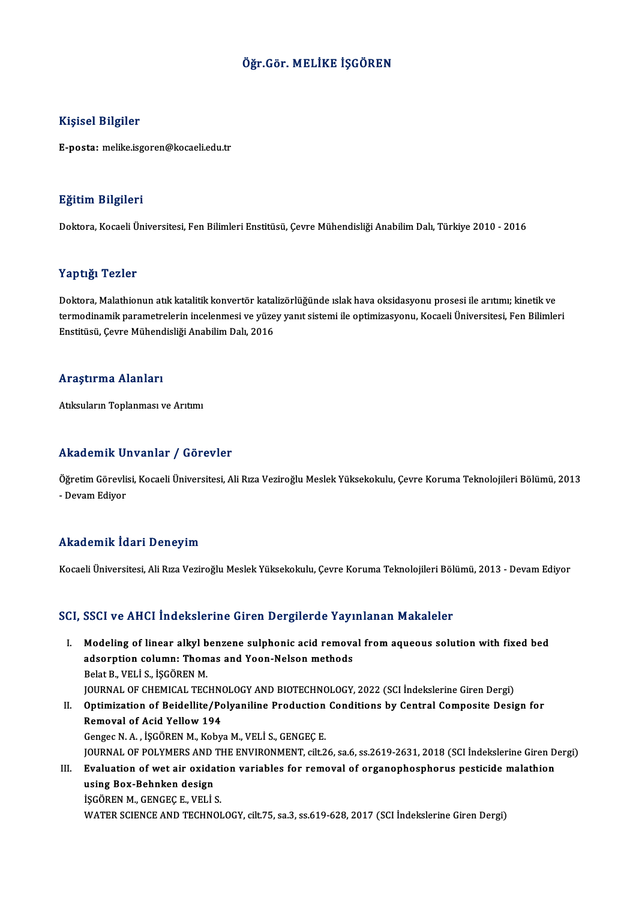### Öğr.Gör.MELİKE İŞGÖREN

### Kişisel Bilgiler

E-posta:melike.isgoren@kocaeli.edu.tr

### Eğitim Bilgileri

Doktora, Kocaeli Üniversitesi, Fen Bilimleri Enstitüsü, Çevre Mühendisliği Anabilim Dalı, Türkiye 2010 - 2016

### Yaptığı Tezler

Doktora, Malathionun atık katalitik konvertör katalizörlüğünde ıslak hava oksidasyonu prosesi ile arıtımı; kinetik ve t ap eigi Tonion<br>Doktora, Malathionun atık katalitik konvertör katalizörlüğünde ıslak hava oksidasyonu prosesi ile arıtımı; kinetik ve<br>termodinamik parametrelerin incelenmesi ve yüzey yanıt sistemi ile optimizasyonu, Kocae Doktora, Malathionun atık katalitik konvertör katal<br>termodinamik parametrelerin incelenmesi ve yüze<br>Enstitüsü, Çevre Mühendisliği Anabilim Dalı, 2016 Enstitüsü, Çevre Mühendisliği Anabilim Dalı, 2016<br>Araştırma Alanları

Atıksuların Toplanması ve Arıtımı

### Akademik Unvanlar / Görevler

Öğretim Görevlisi, Kocaeli Üniversitesi, Ali Rıza Veziroğlu Meslek Yüksekokulu, Çevre Koruma Teknolojileri Bölümü, 2013 - Devam Ediyor

### Akademik İdari Deneyim

Kocaeli Üniversitesi, Ali Rıza Veziroğlu Meslek Yüksekokulu, Çevre Koruma Teknolojileri Bölümü, 2013 - Devam Ediyor

### SCI, SSCI ve AHCI İndekslerine Giren Dergilerde Yayınlanan Makaleler

- CI, SSCI ve AHCI İndekslerine Giren Dergilerde Yayınlanan Makaleler<br>I. Modeling of linear alkyl benzene sulphonic acid removal from aqueous solution with fixed bed<br>Adeerntion column: Thomas and Yean Nelson methods adsorption columns and the column columns of the columns and Yoon-Nelson methods<br>adsorption column: Thomas and Yoon-Nelson methods<br>Relat B. VELLS, ISCOPEN M. Modeling of linear alkyl b<br>adsorption column: Thom<br>Belat B., VELİ S., İŞGÖREN M.<br>IOUPNAL OF CHEMICAL TEC adsorption column: Thomas and Yoon-Nelson methods<br>Belat B., VELİ S., İŞGÖREN M.<br>JOURNAL OF CHEMICAL TECHNOLOGY AND BIOTECHNOLOGY, 2022 (SCI İndekslerine Giren Dergi)<br>Ontimization of Boidellite (Belyaniline Brodustion Condi Belat B., VELİ S., İŞGÖREN M.<br>JOURNAL OF CHEMICAL TECHNOLOGY AND BIOTECHNOLOGY, 2022 (SCI İndekslerine Giren Dergi)<br>II. Optimization of Beidellite/Polyaniline Production Conditions by Central Composite Design for<br>Remov **JOURNAL OF CHEMICAL TECHN<br>Optimization of Beidellite/Po<br>Removal of Acid Yellow 194<br>Congee N.A. ISCOPEN M. Kohu**
- Gengec N.A., İŞGÖREN M., Kobya M., VELİ S., GENGEÇE. Removal of Acid Yellow 194<br>Gengec N. A. , İŞGÖREN M., Kobya M., VELİ S., GENGEÇ E.<br>JOURNAL OF POLYMERS AND THE ENVIRONMENT, cilt.26, sa.6, ss.2619-2631, 2018 (SCI İndekslerine Giren Dergi)<br>Fyaluation of uvat air ovidation III. Evaluation of wet air oxidation variables for removal of organophosphorus pesticide malathion<br>using Box-Behnken design **JOURNAL OF POLYMERS AND<br>Evaluation of wet air oxida<br>using Box-Behnken design<br>iscOPEN M. CENCEC E. VELLI** İŞGÖREN M., GENGEÇ E., VELİ S.

WATER SCIENCE AND TECHNOLOGY, cilt.75, sa.3, ss.619-628, 2017 (SCI İndekslerine Giren Dergi)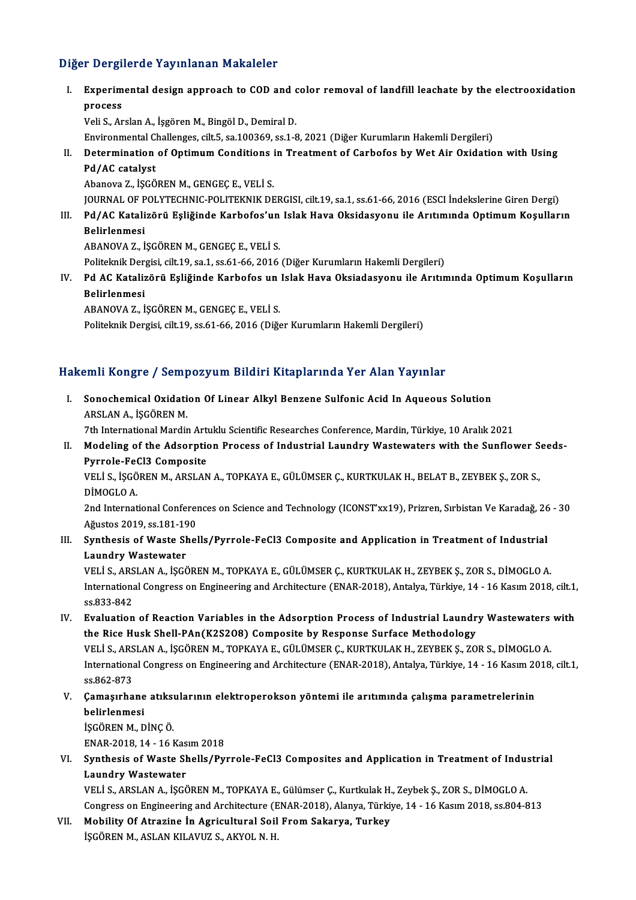### Diğer Dergilerde Yayınlanan Makaleler

Iger Dergilerde Yayınlanan Makaleler<br>I. Experimental design approach to COD and color removal of landfill leachate by the electrooxidation<br>RECOSS r Dergr<br>Experim<br>Process<br><sup>Voli S</sup> Ar

process<br>Veli S., Arslan A., İşgören M., Bingöl D., Demiral D.

Environmental Challenges, cilt.5, sa.100369, ss.1-8, 2021 (Diğer Kurumların Hakemli Dergileri)

## Veli S., Arslan A., İşgören M., Bingöl D., Demiral D.<br>Environmental Challenges, cilt.5, sa.100369, ss.1-8, 2021 (Diğer Kurumların Hakemli Dergileri)<br>II. Determination of Optimum Conditions in Treatment of Carbofos by Wet A Environmental C<br>Determination<br>Pd/AC catalyst<br>Abanova 7, iscõ Determination of Optimum Conditions<br>Pd/AC catalyst<br>Abanova Z., İŞGÖREN M., GENGEÇ E., VELİ S.<br>JOUPNAL OF POLYTECHNIC POLITEKNIK DE

Pd/AC catalyst<br>Abanova Z., İŞGÖREN M., GENGEÇ E., VELİ S.<br>JOURNAL OF POLYTECHNIC-POLITEKNIK DERGISI, cilt.19, sa.1, ss.61-66, 2016 (ESCI İndekslerine Giren Dergi) Abanova Z., İŞGÖREN M., GENGEÇ E., VELİ S.<br>JOURNAL OF POLYTECHNIC-POLITEKNIK DERGISI, cilt.19, sa.1, ss.61-66, 2016 (ESCI İndekslerine Giren Dergi)<br>Dalizlarıncai

**JOURNAL OF P<br>Pd/AC Katali<br>Belirlenmesi**<br>ARANOVA 7 İ Pd/AC Katalizörü Eşliğinde Karbofos'un<br>Belirlenmesi<br>ABANOVA Z., İŞGÖREN M., GENGEÇ E., VELİ S.<br>Politelmik Dergisi silt 19. sa 1. sa 61.66.2016 Belirlenmesi<br>ABANOVA Z., İŞGÖREN M., GENGEÇ E., VELİ S.<br>Politeknik Dergisi, cilt.19, sa.1, ss.61-66, 2016 (Diğer Kurumların Hakemli Dergileri)<br>Pd. AC Katalirörü, Feliğinde Karbefes un Jalak Have Oksiadesyonu, ile Arıtın

ABANOVA Z., İŞGÖREN M., GENGEÇ E., VELİ S.<br>Politeknik Dergisi, cilt.19, sa.1, ss.61-66, 2016 (Diğer Kurumların Hakemli Dergileri)<br>IV. Pd AC Katalizörü Eşliğinde Karbofos un Islak Hava Oksiadasyonu ile Arıtımında Optimu Politeknik Der:<br>**Pd AC Kataliz<br>Belirlenmesi**<br>ARANOVA 7. İ

ABANOVA Z., İŞGÖREN M., GENGEÇ E., VELİ S.

Politeknik Dergisi, cilt.19, ss.61-66, 2016 (Diğer Kurumların Hakemli Dergileri)

### Hakemli Kongre / Sempozyum Bildiri Kitaplarında Yer Alan Yayınlar

I. Sonochemical Oxidation Of Linear Alkyl Benzene Sulfonic Acid In Aqueous Solution ARSLAN A., İŞGÖREN M. Sonochemical Oxidation Of Linear Alkyl Benzene Sulfonic Acid In Aqueous Solution<br>ARSLAN A., İŞGÖREN M.<br>7th International Mardin Artuklu Scientific Researches Conference, Mardin, Türkiye, 10 Aralık 2021<br>Madeling of the Adso

II. Modeling of the Adsorption Process of Industrial Laundry Wastewaters with the Sunflower Seeds-<br>Pyrrole-FeCl3 Composite Tth International Mardin Art<br>Modeling of the Adsorptic<br>Pyrrole-FeCl3 Composite<br>VELLS RECOPEN M APSLAN Modeling of the Adsorption Process of Industrial Laundry Wastewaters with the Sunflower S<br>Pyrrole-FeCl3 Composite<br>VELİ S., İŞGÖREN M., ARSLAN A., TOPKAYA E., GÜLÜMSER Ç., KURTKULAK H., BELAT B., ZEYBEK Ş., ZOR S.,<br>PİMOCLO

Pyrrole-Fet<br>VELİ S., İŞGÖ<br>DİMOGLO A.<br>2nd Internat VELİ S., İŞGÖREN M., ARSLAN A., TOPKAYA E., GÜLÜMSER Ç., KURTKULAK H., BELAT B., ZEYBEK Ş., ZOR S.,<br>DİMOGLO A.<br>2nd International Conferences on Science and Technology (ICONST'xx19), Prizren, Sırbistan Ve Karadağ, 26 - 30<br>A

DİMOGLO A.<br>2nd International Conferer<br>Ağustos 2019, ss.181-190<br>Synthosis of Wasto Shel 2nd International Conferences on Science and Technology (ICONST'xx19), Prizren, Sırbistan Ve Karadağ, 26<br>Ağustos 2019, ss.181-190<br>III. Synthesis of Waste Shells/Pyrrole-FeCl3 Composite and Application in Treatment of Indus

# Ağustos 2019, ss.181-190<br>Synthesis of Waste Shells/Pyrrole-FeCl3 Composite and Application in Treatment of Industrial<br>Laundry Wastewater

VELİ S.,ARSLANA., İŞGÖRENM.,TOPKAYAE.,GÜLÜMSERÇ.,KURTKULAKH.,ZEYBEKŞ.,ZORS.,DİMOGLOA. Laundry Wastewater<br>VELİ S., ARSLAN A., İŞGÖREN M., TOPKAYA E., GÜLÜMSER Ç., KURTKULAK H., ZEYBEK Ş., ZOR S., DİMOGLO A.<br>International Congress on Engineering and Architecture (ENAR-2018), Antalya, Türkiye, 14 - 16 Kasım 20 **VELI S., ARS<br>International**<br>ss.833-842<br>Evaluation International Congress on Engineering and Architecture (ENAR-2018), Antalya, Türkiye, 14 - 16 Kasım 2018, cilt.1, ss.833-842<br>IV. Evaluation of Reaction Variables in the Adsorption Process of Industrial Laundry Wastewaters

ss.833-842<br>IV. Evaluation of Reaction Variables in the Adsorption Process of Industrial Laundry Wastewaters with<br>the Rice Husk Shell-PAn(K2S2O8) Composite by Response Surface Methodology Evaluation of Reaction Variables in the Adsorption Process of Industrial Laundry Wastewaters<br>the Rice Husk Shell-PAn(K2S2O8) Composite by Response Surface Methodology<br>VELİ S., ARSLAN A., İŞGÖREN M., TOPKAYA E., GÜLÜMSER Ç. the Rice Husk Shell-PAn(K2S2O8) Composite by Response Surface Methodology<br>VELİ S., ARSLAN A., İŞGÖREN M., TOPKAYA E., GÜLÜMSER Ç., KURTKULAK H., ZEYBEK Ş., ZOR S., DİMOGLO A.<br>International Congress on Engineering and Archi VELI S., ARS<br>Internation<br>ss.862-873<br>Camaarha International Congress on Engineering and Architecture (ENAR-2018), Antalya, Türkiye, 14 - 16 Kasım 20<br>ss.862-873<br>V. Camaşırhane atıksularının elektroperokson yöntemi ile arıtımında çalışma parametrelerinin<br>helirlenmesi

## ss.862-873<br>Çamaşırhane<br>belirlenmesi<br>iscöpen M. D Çamaşırhane atıksı<br>belirlenmesi<br>İŞGÖREN M., DİNÇ Ö.<br>ENAR 2019-14-16 I belirlenmesi<br>İŞGÖREN M., DİNÇ Ö.<br>ENAR-2018, 14 - 16 Kasım 2018<br>Synthesis of Wasta Shalls (Byı

işgören M., DİNÇ Ö.<br>ENAR-2018, 14 - 16 Kasım 2018<br>VI. Synthesis of Waste Shells/Pyrrole-FeCl3 Composites and Application in Treatment of Industrial<br>Laundry Wastewater ENAR-2018, 14 - 16 Kas<br>Synthesis of Waste Sh<br>Laundry Wastewater<br>VELLS ABSLANA ASCÉ Synthesis of Waste Shells/Pyrrole-FeCl3 Composites and Application in Treatment of Indu:<br>Laundry Wastewater<br>VELİ S., ARSLAN A., İŞGÖREN M., TOPKAYA E., Gülümser Ç., Kurtkulak H., Zeybek Ş., ZOR S., DİMOGLO A.<br>Congress on E

Laundry Wastewater<br>VELİ S., ARSLAN A., İŞGÖREN M., TOPKAYA E., Gülümser Ç., Kurtkulak H., Zeybek Ş., ZOR S., DİMOGLO A.<br>Congress on Engineering and Architecture (ENAR-2018), Alanya, Türkiye, 14 - 16 Kasım 2018, ss.804-813<br> VELİ S., ARSLAN A., İŞGÖREN M., TOPKAYA E., Gülümser Ç., Kurtkulak H.<br>Congress on Engineering and Architecture (ENAR-2018), Alanya, Türki<br>VII. Mobility Of Atrazine İn Agricultural Soil From Sakarya, Turkey<br>ISCÖREN M. ASLAN

Congress on Engineering and Architecture (E<br><mark>Mobility Of Atrazine İn Agricultural Soil</mark><br>İŞGÖREN M., ASLAN KILAVUZ S., AKYOL N. H.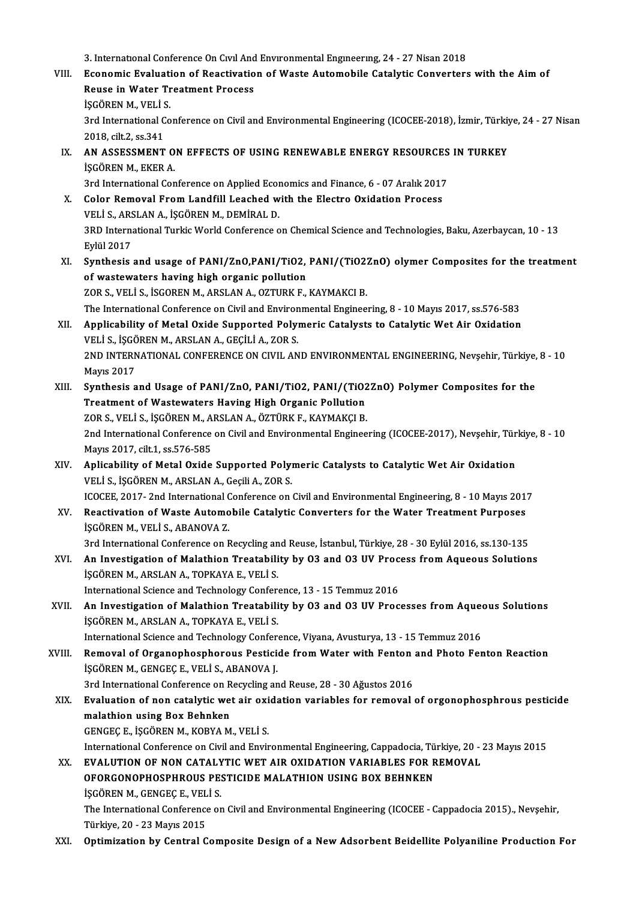- 3. International Conference On Civil And Environmental Engineering, 24 27 Nisan 2018<br>Economia Evaluation of Peastivation of Waste Automobile Catalytic Conventors 3. International Conference On Civil And Environmental Engineering, 24 - 27 Nisan 2018<br>VIII. Economic Evaluation of Reactivation of Waste Automobile Catalytic Converters with the Aim of 3. International Conference On Civil And<br>Economic Evaluation of Reactivatio<br>Reuse in Water Treatment Process<br>iscôpen M. VELLS Economic Evaluati<br>Reuse in Water Tr<br>İŞGÖREN M., VELİ S.<br><sup>2nd International Co</sub></sup> Reuse in Water Treatment Process<br>İŞGÖREN M., VELİ S.<br>3rd International Conference on Civil and Environmental Engineering (ICOCEE-2018), İzmir, Türkiye, 24 - 27 Nisan **İŞGÖREN M., VELİ S**<br>3rd International C<br>2018, cilt.2, ss.341<br>AN ASSESSMENT 3rd International Conference on Civil and Environmental Engineering (ICOCEE-2018), İzmir, Türkiy<br>2018, cilt.2, ss.341<br>IX. AN ASSESSMENT ON EFFECTS OF USING RENEWABLE ENERGY RESOURCES IN TURKEY<br>ISCOPEN M. EKER A 2018, cilt.2, ss.341<br>AN ASSESSMENT O<br>İŞGÖREN M., EKER A. 3. AN ASSESSMENT ON EFFECTS OF USING RENEWABLE ENERGY RESOURCES<br>ISGÖREN M., EKER A.<br>3rd International Conference on Applied Economics and Finance, 6 - 07 Aralık 2017<br>Color Bemovel Erom Landfill Leeched with the Electro Ovi SCOREN M., EKER A.<br>3rd International Conference on Applied Economics and Finance, 6 - 07 Aralık 2017<br>X. Color Removal From Landfill Leached with the Electro Oxidation Process<br>VELLS ARSLAN A. SCOREN M. DEMIRAL D. 3rd International Conference on Applied Econ<br>Color Removal From Landfill Leached w<br>VELİ S., ARSLAN A., İŞGÖREN M., DEMİRAL D.<br>2PD International Turkis World Conference o 3RD International Turkic World Conference on Chemical Science and Technologies, Baku, Azerbaycan, 10 - 13<br>Eylül 2017 VELİ S., ARSLAN A., İŞGÖREN M., DEMİRAL D. 3RD International Turkic World Conference on Chemical Science and Technologies, Baku, Azerbaycan, 10 - 13<br>Eylül 2017<br>XI. Synthesis and usage of PANI/ZnO,PANI/TiO2, PANI/(TiO2ZnO) olymer Composites for the treatment<br>of west Eylül 2017<br>Synthesis and usage of PANI/ZnO,PANI/TiO2,<br>of wastewaters having high organic pollution<br>ZOP S, VELLS, ISCOPEN M, APSLAN A, OZTUPK E Synthesis and usage of PANI/ZnO,PANI/TiO2, PANI/(TiO2)<br>of wastewaters having high organic pollution<br>ZOR S., VELİ S., İSGOREN M., ARSLAN A., OZTURK F., KAYMAKCI B.<br>The International Conference on Civil and Environmental Eng of wastewaters having high organic pollution<br>ZOR S., VELİ S., İSGOREN M., ARSLAN A., OZTURK F., KAYMAKCI B.<br>The International Conference on Civil and Environmental Engineering, 8 - 10 Mayıs 2017, ss.576-583<br>Annligability o ZOR S., VELI S., ISGOREN M., ARSLAN A., OZTURK F., KAYMAKCI B.<br>The International Conference on Civil and Environmental Engineering, 8 - 10 Mayıs 2017, ss.576-583<br>XII. Applicability of Metal Oxide Supported Polymeric Cataly The International Conference on Civil and Environ<br>Applicability of Metal Oxide Supported Poly<br>VELİ S., İŞGÖREN M., ARSLAN A., GEÇİLİ A., ZOR S.<br>2ND INTERNATIONAL CONFERENCE ON CIVIL AN Applicability of Metal Oxide Supported Polymeric Catalysts to Catalytic Wet Air Oxidation<br>VELİ S., İŞGÖREN M., ARSLAN A., GEÇİLİ A., ZOR S.<br>2ND INTERNATIONAL CONFERENCE ON CIVIL AND ENVIRONMENTAL ENGINEERING, Nevşehir, Tür VELI S., IŞGÖ<br>2ND INTERN<br>Mayıs 2017<br>Sunthosis a 2ND INTERNATIONAL CONFERENCE ON CIVIL AND ENVIRONMENTAL ENGINEERING, Nevşehir, Türkiye,<br>Mayıs 2017<br>XIII. Synthesis and Usage of PANI/ZnO, PANI/TiO2, PANI/(TiO2ZnO) Polymer Composites for the<br>Treatment of Westewaters Having Mayıs 2017<br>Synthesis and Usage of PANI/ZnO, PANI/TiO2, PANI/(TiO2ZnO) Polymer Composites for the<br>Treatment of Wastewaters Having High Organic Pollution Synthesis and Usage of PANI/ZnO, PANI/TiO2, PANI/(TiO2<br>Treatment of Wastewaters Having High Organic Pollution<br>ZOR S., VELİ S., İŞGÖREN M., ARSLAN A., ÖZTÜRK F., KAYMAKÇI B.<br>2nd International Conference on Civil and Environ 2nd International Conference on Civil and Environmental Engineering (ICOCEE-2017), Nevşehir, Türkiye, 8 - 10<br>Mayıs 2017, cilt.1, ss.576-585 ZOR S., VELİ S., İŞGÖREN M., A.<br>2nd International Conference<br>Mayıs 2017, cilt.1, ss.576-585<br>Anlisability of Motal Ovide 2nd International Conference on Civil and Environmental Engineering (ICOCEE-2017), Nevşehir, Tür<br>Mayıs 2017, cilt.1, ss.576-585<br>XIV. Aplicability of Metal Oxide Supported Polymeric Catalysts to Catalytic Wet Air Oxidation<br> Mayıs 2017, cilt.1, ss.576-585<br>Aplicability of Metal Oxide Supported Poly<br>VELİ S., İŞGÖREN M., ARSLAN A., Geçili A., ZOR S.<br>ICOCEE 2017, 2nd International Conference on Aplicability of Metal Oxide Supported Polymeric Catalysts to Catalytic Wet Air Oxidation<br>VELİ S., İŞGÖREN M., ARSLAN A., Geçili A., ZOR S.<br>ICOCEE, 2017- 2nd International Conference on Civil and Environmental Engineering, VELİ S., İŞGÖREN M., ARSLAN A., Geçili A., ZOR S.<br>ICOCEE, 2017- 2nd International Conference on Civil and Environmental Engineering, 8 - 10 Mayıs 201<br>XV. Reactivation of Waste Automobile Catalytic Converters for the Water ICOCEE, 2017- 2nd International C<br>Reactivation of Waste Automo<br>ISGÖREN M., VELI S., ABANOVA Z.<br><sup>2nd International Conference on E</sup> Reactivation of Waste Automobile Catalytic Converters for the Water Treatment Purposes<br>İŞGÖREN M., VELİ S., ABANOVA Z.<br>3rd International Conference on Recycling and Reuse, İstanbul, Türkiye, 28 - 30 Eylül 2016, ss.130-135<br> iŞGÖREN M., VELİ S., ABANOVA Z.<br>3rd International Conference on Recycling and Reuse, İstanbul, Türkiye, 28 - 30 Eylül 2016, ss.130-135<br>XVI. An Investigation of Malathion Treatability by O3 and O3 UV Process from Aqueou 3rd International Conference on Recycling an<br>An Investigation of Malathion Treatabili<br>İŞGÖREN M., ARSLAN A., TOPKAYA E., VELİ S.<br>International Science and Technology Confor An Investigation of Malathion Treatability by 03 and 03 UV Proc<br>ISGÖREN M., ARSLAN A., TOPKAYA E., VELI S.<br>International Science and Technology Conference, 13 - 15 Temmuz 2016<br>An Investigation of Malathion Treatability by iŞGÖREN M., ARSLAN A., TOPKAYA E., VELI S.<br>International Science and Technology Conference, 13 - 15 Temmuz 2016<br>XVII. An Investigation of Malathion Treatability by O3 and O3 UV Processes from Aqueous Solutions<br>IŞGÖREN M., International Science and Technology Conference, 13 - 15 Temmuz 2016 An Investigation of Malathion Treatability by 03 and 03 UV Processes from Aque<br>IŞGÖREN M., ARSLAN A., TOPKAYA E., VELI S.<br>International Science and Technology Conference, Viyana, Avusturya, 13 - 15 Temmuz 2016<br>Pemeual of O XVIII. Removal of Organophosphorous Pesticide from Water with Fenton and Photo Fenton Reaction<br>iSGÖREN M., GENGEC E., VELI S., ABANOVA J. International Science and Technology Conferned and Science and Technology Conferned September 2013<br>ISGÖREN M., GENGEÇE., VELI S., ABANOVA J.<br>2nd International Conference on Besuring an Removal of Organophosphorous Pesticide from Water with Fenton<br>İŞGÖREN M., GENGEÇ E., VELİ S., ABANOVA J.<br>3rd International Conference on Recycling and Reuse, 28 - 30 Ağustos 2016<br>Evaluation of non gatalytis vet air ovidati işgören M., Gengeç E., Veli S., ABANOVA J.<br>3rd International Conference on Recycling and Reuse, 28 - 30 Ağustos 2016<br>XIX. Evaluation of non catalytic wet air oxidation variables for removal of orgonophosphrous pesticid 3rd International Conference on R<br>**Evaluation of non catalytic we<br>malathion using Box Behnken**<br>CENCECE iSCOPEN M. KOPYA M Evaluation of non catalytic wet air oxi<br>malathion using Box Behnken<br>GENGEÇ E., İŞGÖREN M., KOBYA M., VELİ S.<br>International Conference on Civil and Envir malathion using Box Behnken<br>GENGEÇ E., İŞGÖREN M., KOBYA M., VELİ S.<br>International Conference on Civil and Environmental Engineering, Cappadocia, Türkiye, 20 - 23 Mayıs 2015 XX. EVALUTION OF NON CATALYTIC WET AIR OXIDATION VARIABLES FOR REMOVAL International Conference on Civil and Environmental Engineering, Cappadocia, Tü<br>EVALUTION OF NON CATALYTIC WET AIR OXIDATION VARIABLES FOR R<br>OFORGONOPHOSPHROUS PESTICIDE MALATHION USING BOX BEHNKEN<br>ISCÖREN M. CENCEC E. VEL EVALUTION OF NON CATALY<br>OFORGONOPHOSPHROUS PE:<br>İŞGÖREN M., GENGEÇ E., VELİ S.<br>The International Conforence or İŞGÖREN M., GENGEÇ E., VELİ S.<br>The International Conference on Civil and Environmental Engineering (ICOCEE - Cappadocia 2015)., Nevşehir, Türkiye,20 -23Mayıs2015
	- XXI. Optimization by Central Composite Design of a New Adsorbent Beidellite Polyaniline Production For